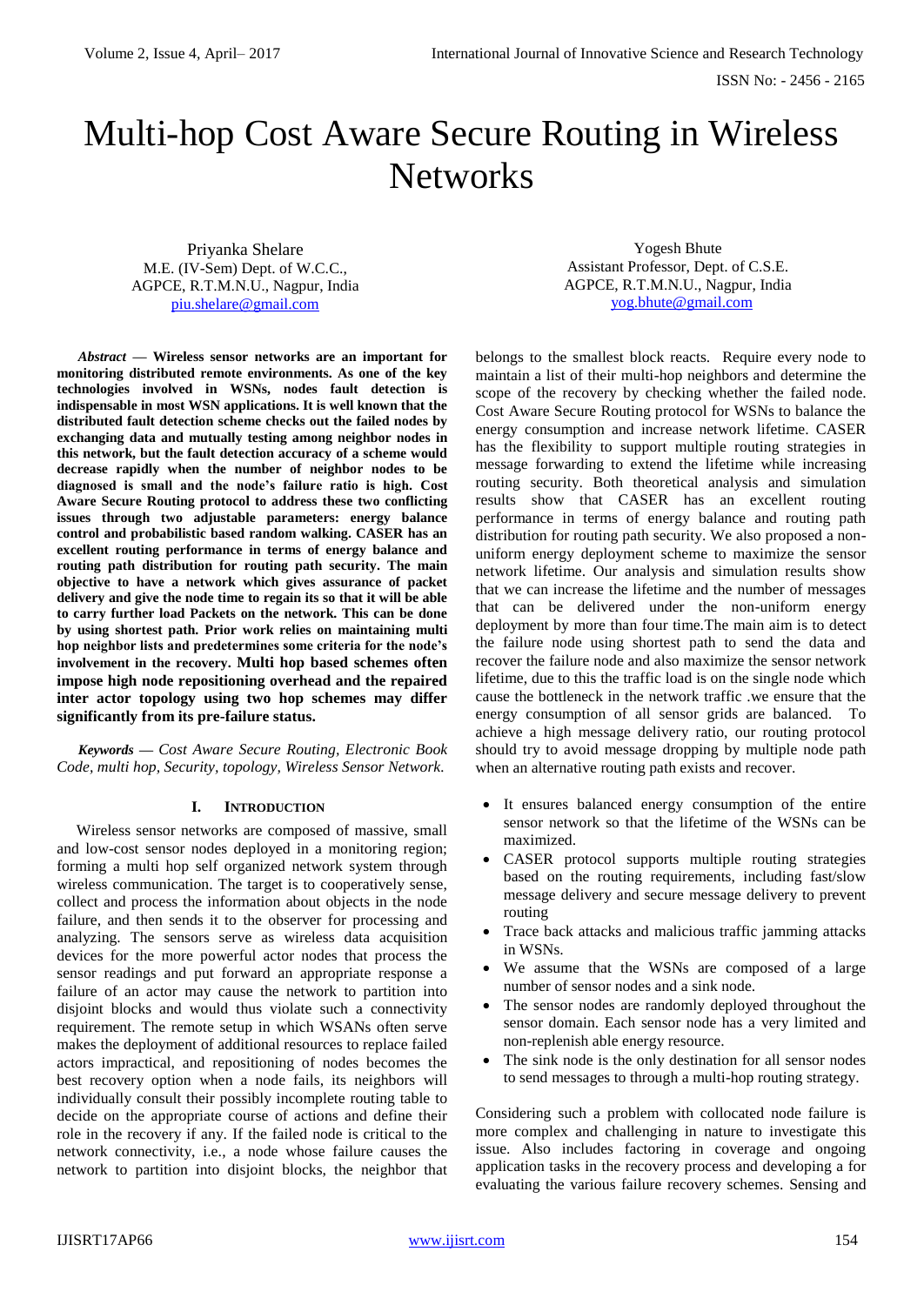# Multi-hop Cost Aware Secure Routing in Wireless **Networks**

Priyanka Shelare M.E. (IV-Sem) Dept. of W.C.C., AGPCE, R.T.M.N.U., Nagpur, India [piu.shelare@gmail.com](mailto:piu.shelare@gmail.com)

Yogesh Bhute Assistant Professor, Dept. of C.S.E. AGPCE, R.T.M.N.U., Nagpur, India [yog.bhute@gmail.com](mailto:yog.bhute@gmail.com)

*Abstract* **— Wireless sensor networks are an important for monitoring distributed remote environments. As one of the key technologies involved in WSNs, nodes fault detection is indispensable in most WSN applications. It is well known that the distributed fault detection scheme checks out the failed nodes by exchanging data and mutually testing among neighbor nodes in this network, but the fault detection accuracy of a scheme would decrease rapidly when the number of neighbor nodes to be diagnosed is small and the node's failure ratio is high. Cost Aware Secure Routing protocol to address these two conflicting issues through two adjustable parameters: energy balance control and probabilistic based random walking. CASER has an excellent routing performance in terms of energy balance and routing path distribution for routing path security. The main objective to have a network which gives assurance of packet delivery and give the node time to regain its so that it will be able to carry further load Packets on the network. This can be done by using shortest path. Prior work relies on maintaining multi hop neighbor lists and predetermines some criteria for the node's involvement in the recovery. Multi hop based schemes often impose high node repositioning overhead and the repaired inter actor topology using two hop schemes may differ significantly from its pre-failure status.**

*Keywords — Cost Aware Secure Routing, Electronic Book Code, multi hop, Security, topology, Wireless Sensor Network.*

#### **I. INTRODUCTION**

 Wireless sensor networks are composed of massive, small and low-cost sensor nodes deployed in a monitoring region; forming a multi hop self organized network system through wireless communication. The target is to cooperatively sense, collect and process the information about objects in the node failure, and then sends it to the observer for processing and analyzing. The sensors serve as wireless data acquisition devices for the more powerful actor nodes that process the sensor readings and put forward an appropriate response a failure of an actor may cause the network to partition into disjoint blocks and would thus violate such a connectivity requirement. The remote setup in which WSANs often serve makes the deployment of additional resources to replace failed actors impractical, and repositioning of nodes becomes the best recovery option when a node fails, its neighbors will individually consult their possibly incomplete routing table to decide on the appropriate course of actions and define their role in the recovery if any. If the failed node is critical to the network connectivity, i.e., a node whose failure causes the network to partition into disjoint blocks, the neighbor that

belongs to the smallest block reacts. Require every node to maintain a list of their multi-hop neighbors and determine the scope of the recovery by checking whether the failed node. Cost Aware Secure Routing protocol for WSNs to balance the energy consumption and increase network lifetime. CASER has the flexibility to support multiple routing strategies in message forwarding to extend the lifetime while increasing routing security. Both theoretical analysis and simulation results show that CASER has an excellent routing performance in terms of energy balance and routing path distribution for routing path security. We also proposed a nonuniform energy deployment scheme to maximize the sensor network lifetime. Our analysis and simulation results show that we can increase the lifetime and the number of messages that can be delivered under the non-uniform energy deployment by more than four time.The main aim is to detect the failure node using shortest path to send the data and recover the failure node and also maximize the sensor network lifetime, due to this the traffic load is on the single node which cause the bottleneck in the network traffic .we ensure that the energy consumption of all sensor grids are balanced. To achieve a high message delivery ratio, our routing protocol should try to avoid message dropping by multiple node path when an alternative routing path exists and recover.

- It ensures balanced energy consumption of the entire sensor network so that the lifetime of the WSNs can be maximized.
- CASER protocol supports multiple routing strategies based on the routing requirements, including fast/slow message delivery and secure message delivery to prevent routing
- Trace back attacks and malicious traffic jamming attacks in WSNs.
- We assume that the WSNs are composed of a large number of sensor nodes and a sink node.
- The sensor nodes are randomly deployed throughout the sensor domain. Each sensor node has a very limited and non-replenish able energy resource.
- The sink node is the only destination for all sensor nodes to send messages to through a multi-hop routing strategy.

Considering such a problem with collocated node failure is more complex and challenging in nature to investigate this issue. Also includes factoring in coverage and ongoing application tasks in the recovery process and developing a for evaluating the various failure recovery schemes. Sensing and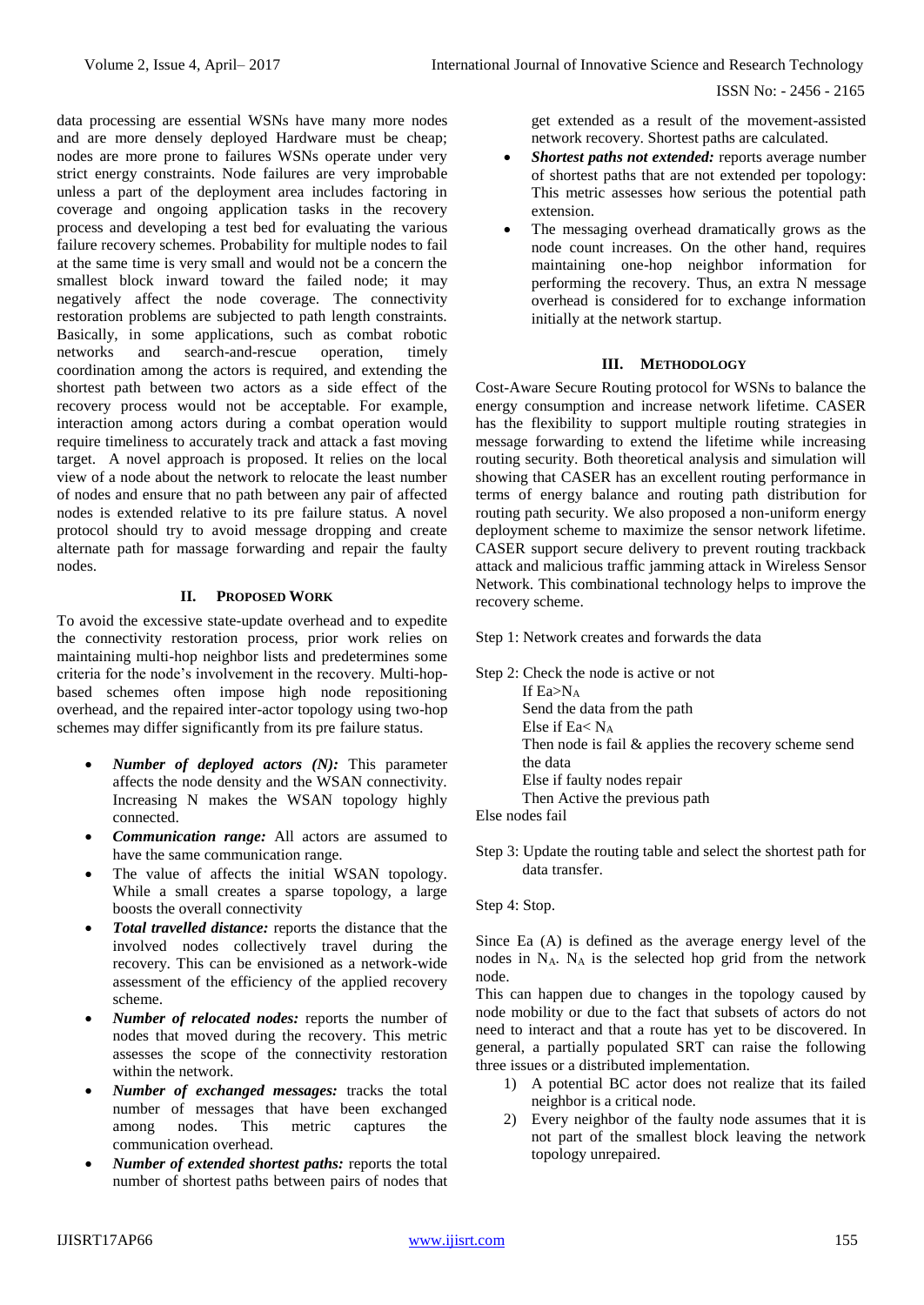ISSN No: - 2456 - 2165

data processing are essential WSNs have many more nodes and are more densely deployed Hardware must be cheap; nodes are more prone to failures WSNs operate under very strict energy constraints. Node failures are very improbable unless a part of the deployment area includes factoring in coverage and ongoing application tasks in the recovery process and developing a test bed for evaluating the various failure recovery schemes. Probability for multiple nodes to fail at the same time is very small and would not be a concern the smallest block inward toward the failed node; it may negatively affect the node coverage. The connectivity restoration problems are subjected to path length constraints. Basically, in some applications, such as combat robotic networks and search-and-rescue operation, timely coordination among the actors is required, and extending the shortest path between two actors as a side effect of the recovery process would not be acceptable. For example, interaction among actors during a combat operation would require timeliness to accurately track and attack a fast moving target. A novel approach is proposed. It relies on the local view of a node about the network to relocate the least number of nodes and ensure that no path between any pair of affected nodes is extended relative to its pre failure status. A novel protocol should try to avoid message dropping and create alternate path for massage forwarding and repair the faulty nodes.

## **II. PROPOSED WORK**

To avoid the excessive state-update overhead and to expedite the connectivity restoration process, prior work relies on maintaining multi-hop neighbor lists and predetermines some criteria for the node's involvement in the recovery. Multi-hopbased schemes often impose high node repositioning overhead, and the repaired inter-actor topology using two-hop schemes may differ significantly from its pre failure status.

- *Number of deployed actors (N):* This parameter affects the node density and the WSAN connectivity. Increasing N makes the WSAN topology highly connected.
- *Communication range:* All actors are assumed to have the same communication range.
- The value of affects the initial WSAN topology. While a small creates a sparse topology, a large boosts the overall connectivity
- *Total travelled distance:* reports the distance that the involved nodes collectively travel during the recovery. This can be envisioned as a network-wide assessment of the efficiency of the applied recovery scheme.
- *Number of relocated nodes:* reports the number of nodes that moved during the recovery. This metric assesses the scope of the connectivity restoration within the network.
- *Number of exchanged messages:* tracks the total number of messages that have been exchanged among nodes. This metric captures the communication overhead.
- *Number of extended shortest paths:* reports the total number of shortest paths between pairs of nodes that

get extended as a result of the movement-assisted network recovery. Shortest paths are calculated.

- *Shortest paths not extended:* reports average number of shortest paths that are not extended per topology: This metric assesses how serious the potential path extension.
- The messaging overhead dramatically grows as the node count increases. On the other hand, requires maintaining one-hop neighbor information for performing the recovery. Thus, an extra N message overhead is considered for to exchange information initially at the network startup.

## **III. METHODOLOGY**

Cost-Aware Secure Routing protocol for WSNs to balance the energy consumption and increase network lifetime. CASER has the flexibility to support multiple routing strategies in message forwarding to extend the lifetime while increasing routing security. Both theoretical analysis and simulation will showing that CASER has an excellent routing performance in terms of energy balance and routing path distribution for routing path security. We also proposed a non-uniform energy deployment scheme to maximize the sensor network lifetime. CASER support secure delivery to prevent routing trackback attack and malicious traffic jamming attack in Wireless Sensor Network. This combinational technology helps to improve the recovery scheme.

Step 1: Network creates and forwards the data

Step 2: Check the node is active or not If Ea>N<sup>A</sup> Send the data from the path Else if Ea<  $N_A$  Then node is fail & applies the recovery scheme send the data Else if faulty nodes repair Then Active the previous path

Else nodes fail

Step 3: Update the routing table and select the shortest path for data transfer.

Step 4: Stop.

Since Ea (A) is defined as the average energy level of the nodes in  $N_A$ .  $N_A$  is the selected hop grid from the network node.

This can happen due to changes in the topology caused by node mobility or due to the fact that subsets of actors do not need to interact and that a route has yet to be discovered. In general, a partially populated SRT can raise the following three issues or a distributed implementation.

- 1) A potential BC actor does not realize that its failed neighbor is a critical node.
- 2) Every neighbor of the faulty node assumes that it is not part of the smallest block leaving the network topology unrepaired.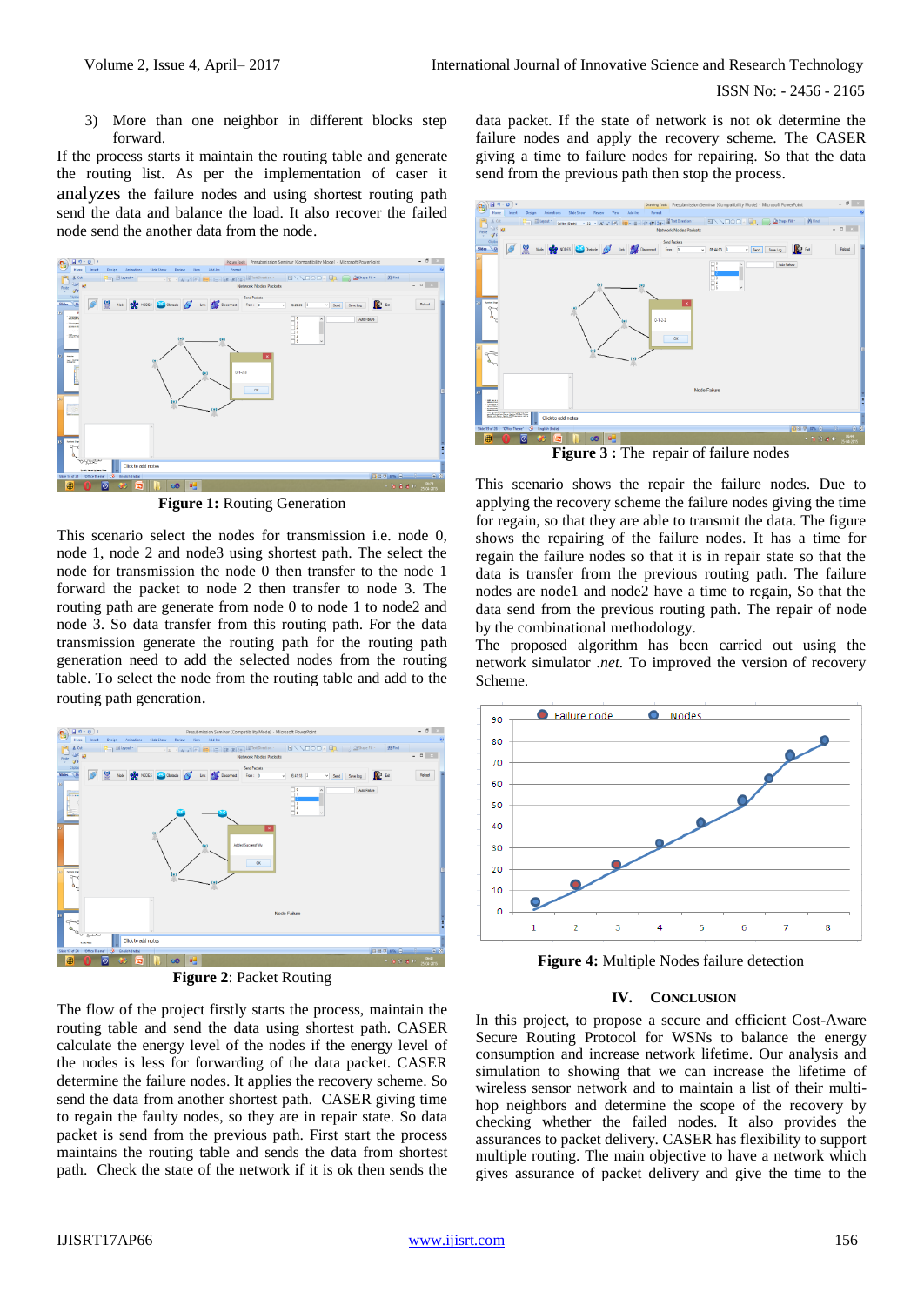3) More than one neighbor in different blocks step forward.

If the process starts it maintain the routing table and generate the routing list. As per the implementation of caser it analyzes the failure nodes and using shortest routing path send the data and balance the load. It also recover the failed node send the another data from the node.



**Figure 1:** Routing Generation

This scenario select the nodes for transmission i.e. node 0, node 1, node 2 and node3 using shortest path. The select the node for transmission the node 0 then transfer to the node 1 forward the packet to node 2 then transfer to node 3. The routing path are generate from node 0 to node 1 to node2 and node 3. So data transfer from this routing path. For the data transmission generate the routing path for the routing path generation need to add the selected nodes from the routing table. To select the node from the routing table and add to the routing path generation.



**Figure 2**: Packet Routing

The flow of the project firstly starts the process, maintain the routing table and send the data using shortest path. CASER calculate the energy level of the nodes if the energy level of the nodes is less for forwarding of the data packet. CASER determine the failure nodes. It applies the recovery scheme. So send the data from another shortest path. CASER giving time to regain the faulty nodes, so they are in repair state. So data packet is send from the previous path. First start the process maintains the routing table and sends the data from shortest path. Check the state of the network if it is ok then sends the

data packet. If the state of network is not ok determine the failure nodes and apply the recovery scheme. The CASER giving a time to failure nodes for repairing. So that the data send from the previous path then stop the process.



**Figure 3 :** The repair of failure nodes

This scenario shows the repair the failure nodes. Due to applying the recovery scheme the failure nodes giving the time for regain, so that they are able to transmit the data. The figure shows the repairing of the failure nodes. It has a time for regain the failure nodes so that it is in repair state so that the data is transfer from the previous routing path. The failure nodes are node1 and node2 have a time to regain, So that the data send from the previous routing path. The repair of node by the combinational methodology.

The proposed algorithm has been carried out using the network simulator *.net.* To improved the version of recovery Scheme.



**Figure 4:** Multiple Nodes failure detection

#### **IV. CONCLUSION**

In this project, to propose a secure and efficient Cost-Aware Secure Routing Protocol for WSNs to balance the energy consumption and increase network lifetime. Our analysis and simulation to showing that we can increase the lifetime of wireless sensor network and to maintain a list of their multihop neighbors and determine the scope of the recovery by checking whether the failed nodes. It also provides the assurances to packet delivery. CASER has flexibility to support multiple routing. The main objective to have a network which gives assurance of packet delivery and give the time to the